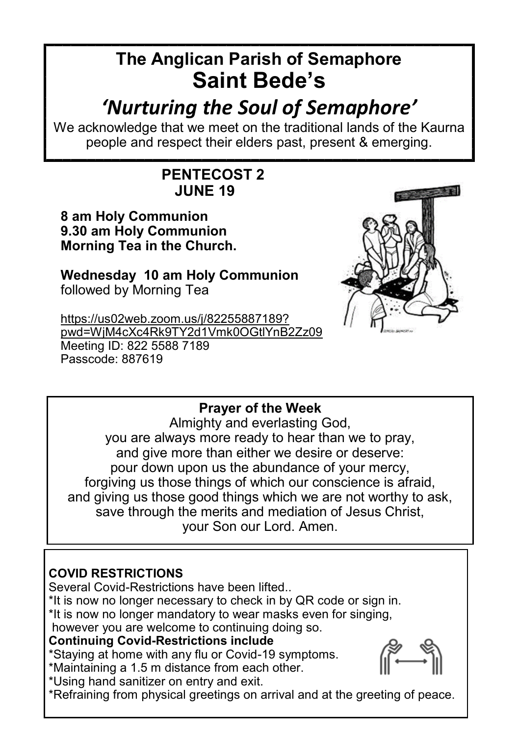# **The Anglican Parish of Semaphore Saint Bede's**

# *'Nurturing the Soul of Semaphore'*

We acknowledge that we meet on the traditional lands of the Kaurna people and respect their elders past, present & emerging.

# **PENTECOST 2 JUNE 19**

**8 am Holy Communion 9.30 am Holy Communion Morning Tea in the Church.** 

**Wednesday 10 am Holy Communion** followed by Morning Tea

[https://us02web.zoom.us/j/82255887189?](https://us02web.zoom.us/j/82255887189?pwd=WjM4cXc4Rk9TY2d1Vmk0OGtlYnB2Zz09) [pwd=WjM4cXc4Rk9TY2d1Vmk0OGtlYnB2Zz09](https://us02web.zoom.us/j/82255887189?pwd=WjM4cXc4Rk9TY2d1Vmk0OGtlYnB2Zz09) Meeting ID: 822 5588 7189 Passcode: 887619



# **Prayer of the Week**

Almighty and everlasting God, you are always more ready to hear than we to pray, and give more than either we desire or deserve: pour down upon us the abundance of your mercy, forgiving us those things of which our conscience is afraid, and giving us those good things which we are not worthy to ask, save through the merits and mediation of Jesus Christ, your Son our Lord. Amen.

## **COVID RESTRICTIONS**

Several Covid-Restrictions have been lifted..

\*It is now no longer necessary to check in by QR code or sign in.

\*It is now no longer mandatory to wear masks even for singing,

however you are welcome to continuing doing so.

### **Continuing Covid-Restrictions include**

\*Staying at home with any flu or Covid-19 symptoms.

- \*Maintaining a 1.5 m distance from each other.
- \*Using hand sanitizer on entry and exit.

\*Refraining from physical greetings on arrival and at the greeting of peace.

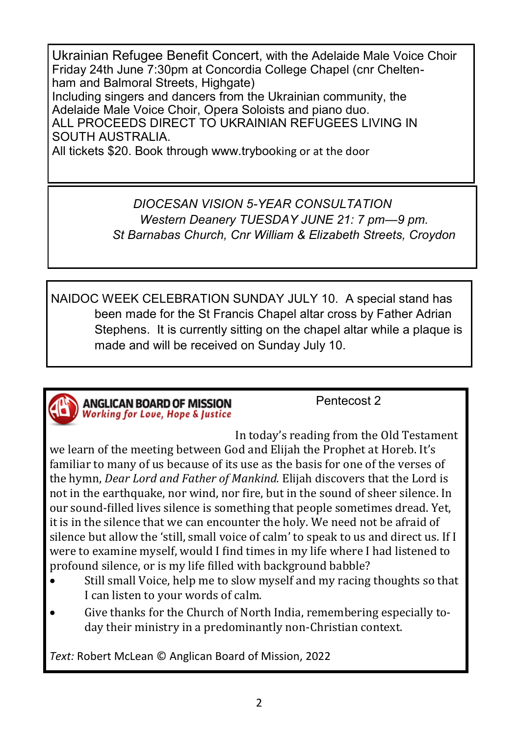Ukrainian Refugee Benefit Concert, with the Adelaide Male Voice Choir Friday 24th June 7:30pm at Concordia College Chapel (cnr Cheltenham and Balmoral Streets, Highgate)

Including singers and dancers from the Ukrainian community, the Adelaide Male Voice Choir, Opera Soloists and piano duo. ALL PROCEEDS DIRECT TO UKRAINIAN REFUGEES LIVING IN SOUTH AUSTRALIA.

All tickets \$20. Book through www.trybooking or at the door

#### *DIOCESAN VISION 5-YEAR CONSULTATION Western Deanery TUESDAY JUNE 21: 7 pm—9 pm. St Barnabas Church, Cnr William & Elizabeth Streets, Croydon*

NAIDOC WEEK CELEBRATION SUNDAY JULY 10. A special stand has been made for the St Francis Chapel altar cross by Father Adrian Stephens. It is currently sitting on the chapel altar while a plaque is made and will be received on Sunday July 10.



**ANGLICAN BOARD OF MISSION Working for Love, Hope & Justice**  Pentecost 2

In today's reading from the Old Testament

we learn of the meeting between God and Elijah the Prophet at Horeb. It's familiar to many of us because of its use as the basis for one of the verses of the hymn, *Dear Lord and Father of Mankind.* Elijah discovers that the Lord is not in the earthquake, nor wind, nor fire, but in the sound of sheer silence. In our sound-filled lives silence is something that people sometimes dread. Yet, it is in the silence that we can encounter the holy. We need not be afraid of silence but allow the 'still, small voice of calm' to speak to us and direct us. If I were to examine myself, would I find times in my life where I had listened to profound silence, or is my life filled with background babble?

- Still small Voice, help me to slow myself and my racing thoughts so that I can listen to your words of calm.
- Give thanks for the Church of North India, remembering especially today their ministry in a predominantly non-Christian context.

*Text:* Robert McLean © Anglican Board of Mission, 2022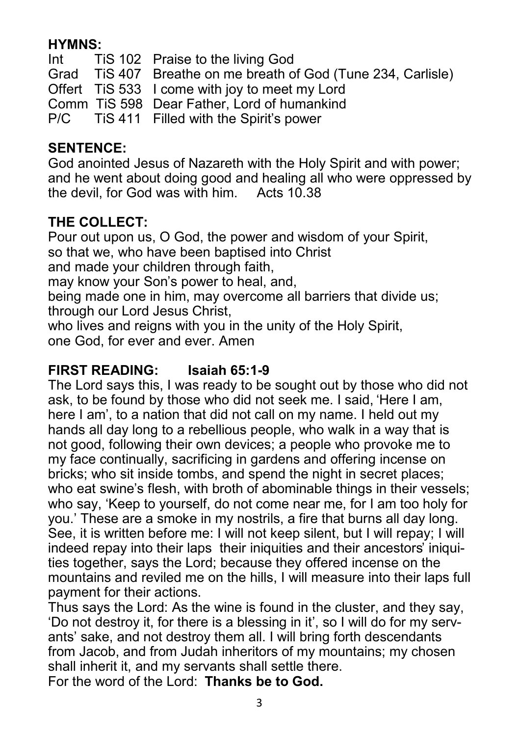#### **HYMNS:**

Int TiS 102 Praise to the living God<br>Grad TiS 407 Breathe on me breath of Grad TiS 407 Breathe on me breath of God (Tune 234, Carlisle) Offert TiS 533 I come with joy to meet my Lord Comm TiS 598 Dear Father, Lord of humankind<br>P/C TiS 411 Filled with the Spirit's power P/C TiS 411 Filled with the Spirit's power

#### **SENTENCE:**

God anointed Jesus of Nazareth with the Holy Spirit and with power; and he went about doing good and healing all who were oppressed by the devil, for God was with him. Acts 10.38

## **THE COLLECT:**

Pour out upon us, O God, the power and wisdom of your Spirit, so that we, who have been baptised into Christ and made your children through faith, may know your Son's power to heal, and, being made one in him, may overcome all barriers that divide us;

through our Lord Jesus Christ,

who lives and reigns with you in the unity of the Holy Spirit, one God, for ever and ever. Amen

### **FIRST READING: Isaiah 65:1-9**

The Lord says this, I was ready to be sought out by those who did not ask, to be found by those who did not seek me. I said, 'Here I am, here I am', to a nation that did not call on my name. I held out my hands all day long to a rebellious people, who walk in a way that is not good, following their own devices; a people who provoke me to my face continually, sacrificing in gardens and offering incense on bricks; who sit inside tombs, and spend the night in secret places; who eat swine's flesh, with broth of abominable things in their vessels; who say, 'Keep to yourself, do not come near me, for I am too holy for you.' These are a smoke in my nostrils, a fire that burns all day long. See, it is written before me: I will not keep silent, but I will repay; I will indeed repay into their laps their iniquities and their ancestors' iniquities together, says the Lord; because they offered incense on the mountains and reviled me on the hills, I will measure into their laps full payment for their actions.

Thus says the Lord: As the wine is found in the cluster, and they say, 'Do not destroy it, for there is a blessing in it', so I will do for my servants' sake, and not destroy them all. I will bring forth descendants from Jacob, and from Judah inheritors of my mountains; my chosen shall inherit it, and my servants shall settle there.

For the word of the Lord: **Thanks be to God.**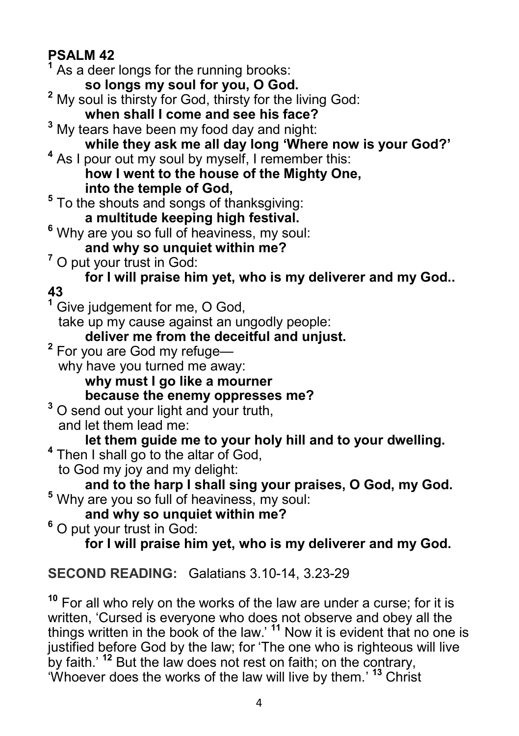# **PSALM 42**

**43**

**<sup>1</sup>** As a deer longs for the running brooks:

**so longs my soul for you, O God.**

- **<sup>2</sup>** My soul is thirsty for God, thirsty for the living God: **when shall I come and see his face?**
- **<sup>3</sup>** My tears have been my food day and night: **while they ask me all day long 'Where now is your God?'**
- **<sup>4</sup>** As I pour out my soul by myself, I remember this: **how I went to the house of the Mighty One, into the temple of God,**

**5** To the shouts and songs of thanksgiving: **a multitude keeping high festival.**

**<sup>6</sup>** Why are you so full of heaviness, my soul:

**and why so unquiet within me?**

**<sup>7</sup>** O put your trust in God:

**for I will praise him yet, who is my deliverer and my God..**

**<sup>1</sup>** Give judgement for me, O God,

take up my cause against an ungodly people:

**deliver me from the deceitful and unjust.**

**2** For you are God my refuge—

why have you turned me away:

**why must I go like a mourner**

**because the enemy oppresses me?**

**<sup>3</sup>** O send out your light and your truth,

and let them lead me:

**let them guide me to your holy hill and to your dwelling.**

**4** Then I shall go to the altar of God, to God my joy and my delight:

**and to the harp I shall sing your praises, O God, my God. <sup>5</sup>** Why are you so full of heaviness, my soul:

# **and why so unquiet within me?**

**<sup>6</sup>** O put your trust in God:

**for I will praise him yet, who is my deliverer and my God.**

**SECOND READING:** Galatians 3.10-14, 3.23-29

**<sup>10</sup>** For all who rely on the works of the law are under a curse; for it is written, 'Cursed is everyone who does not observe and obey all the things written in the book of the law.' **<sup>11</sup>** Now it is evident that no one is justified before God by the law; for 'The one who is righteous will live by faith.' **<sup>12</sup>** But the law does not rest on faith; on the contrary, 'Whoever does the works of the law will live by them.' **<sup>13</sup>** Christ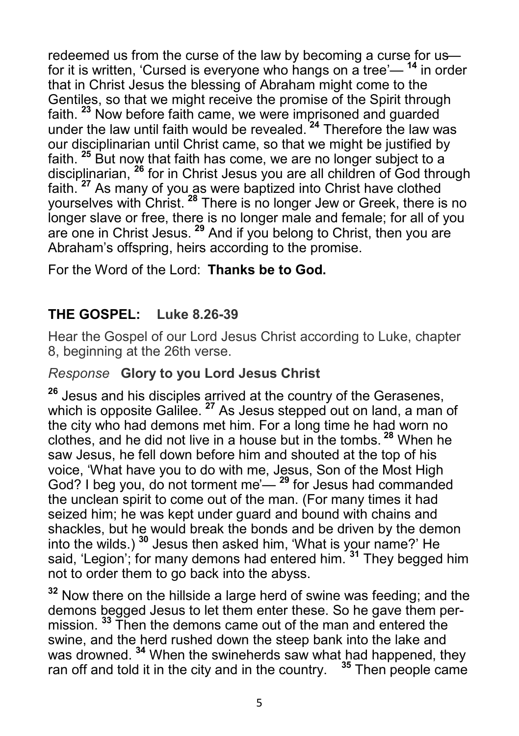redeemed us from the curse of the law by becoming a curse for us for it is written, 'Cursed is everyone who hangs on a tree'— **<sup>14</sup>** in order that in Christ Jesus the blessing of Abraham might come to the Gentiles, so that we might receive the promise of the Spirit through faith. **<sup>23</sup>** Now before faith came, we were imprisoned and guarded under the law until faith would be revealed. **<sup>24</sup>** Therefore the law was our disciplinarian until Christ came, so that we might be justified by faith. **<sup>25</sup>** But now that faith has come, we are no longer subject to a disciplinarian, **<sup>26</sup>** for in Christ Jesus you are all children of God through faith. **<sup>27</sup>** As many of you as were baptized into Christ have clothed yourselves with Christ. **<sup>28</sup>** There is no longer Jew or Greek, there is no longer slave or free, there is no longer male and female; for all of you are one in Christ Jesus. **<sup>29</sup>** And if you belong to Christ, then you are Abraham's offspring, heirs according to the promise.

For the Word of the Lord: **Thanks be to God.**

# **THE GOSPEL: Luke 8.26-39**

Hear the Gospel of our Lord Jesus Christ according to Luke, chapter 8, beginning at the 26th verse.

# *Response* **Glory to you Lord Jesus Christ**

**<sup>26</sup>** Jesus and his disciples arrived at the country of the Gerasenes, which is opposite Galilee.<sup>27</sup> As Jesus stepped out on land, a man of the city who had demons met him. For a long time he had worn no clothes, and he did not live in a house but in the tombs. **<sup>28</sup>** When he saw Jesus, he fell down before him and shouted at the top of his voice, 'What have you to do with me, Jesus, Son of the Most High God? I beg you, do not torment me'— **<sup>29</sup>** for Jesus had commanded the unclean spirit to come out of the man. (For many times it had seized him; he was kept under guard and bound with chains and shackles, but he would break the bonds and be driven by the demon into the wilds.) **<sup>30</sup>** Jesus then asked him, 'What is your name?' He said, 'Legion'; for many demons had entered him. **<sup>31</sup>** They begged him not to order them to go back into the abyss.

**<sup>32</sup>** Now there on the hillside a large herd of swine was feeding; and the demons begged Jesus to let them enter these. So he gave them permission. **<sup>33</sup>** Then the demons came out of the man and entered the swine, and the herd rushed down the steep bank into the lake and was drowned. **<sup>34</sup>** When the swineherds saw what had happened, they ran off and told it in the city and in the country. **<sup>35</sup>** Then people came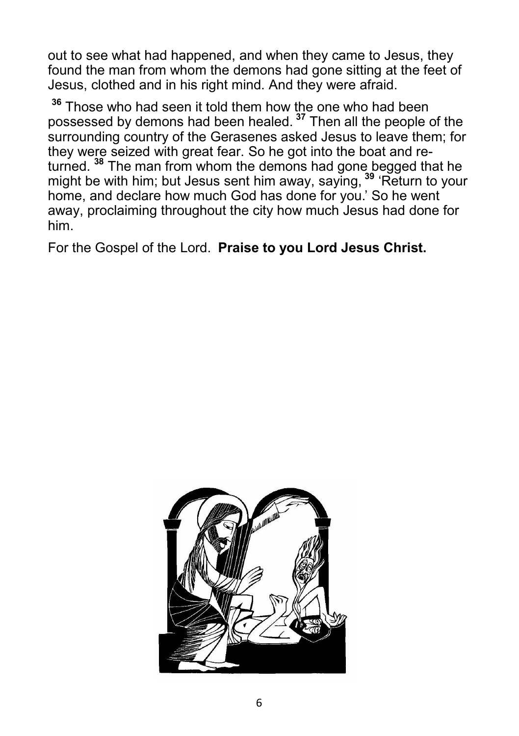out to see what had happened, and when they came to Jesus, they found the man from whom the demons had gone sitting at the feet of Jesus, clothed and in his right mind. And they were afraid.

**<sup>36</sup>** Those who had seen it told them how the one who had been possessed by demons had been healed. **<sup>37</sup>** Then all the people of the surrounding country of the Gerasenes asked Jesus to leave them; for they were seized with great fear. So he got into the boat and returned. **<sup>38</sup>** The man from whom the demons had gone begged that he might be with him; but Jesus sent him away, saying, **<sup>39</sup>** 'Return to your home, and declare how much God has done for you.' So he went away, proclaiming throughout the city how much Jesus had done for him.

For the Gospel of the Lord. **Praise to you Lord Jesus Christ.**

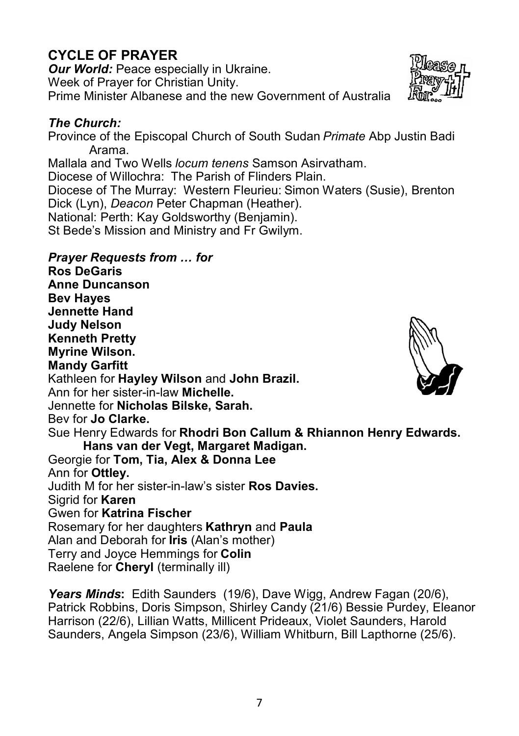# **CYCLE OF PRAYER**

*Our World: Peace especially in Ukraine.* Week of Prayer for Christian Unity. Prime Minister Albanese and the new Government of Australia

#### *The Church:*

Province of the Episcopal Church of South Sudan *Primate* Abp Justin Badi Arama. Mallala and Two Wells *locum tenens* Samson Asirvatham. Diocese of Willochra: The Parish of Flinders Plain. Diocese of The Murray: Western Fleurieu: Simon Waters (Susie), Brenton Dick (Lyn), *Deacon* Peter Chapman (Heather). National: Perth: Kay Goldsworthy (Benjamin). St Bede's Mission and Ministry and Fr Gwilym.

#### *Prayer Requests from … for*

**Ros DeGaris Anne Duncanson Bev Hayes Jennette Hand Judy Nelson Kenneth Pretty Myrine Wilson. Mandy Garfitt**  Kathleen for **Hayley Wilson** and **John Brazil.** Ann for her sister-in-law **Michelle.**  Jennette for **Nicholas Bilske, Sarah.** Bev for **Jo Clarke.** Sue Henry Edwards for **Rhodri Bon Callum & Rhiannon Henry Edwards. Hans van der Vegt, Margaret Madigan.** Georgie for **Tom, Tia, Alex & Donna Lee** Ann for **Ottley.**  Judith M for her sister-in-law's sister **Ros Davies.** Sigrid for **Karen** Gwen for **Katrina Fischer** Rosemary for her daughters **Kathryn** and **Paula** Alan and Deborah for **Iris** (Alan's mother) Terry and Joyce Hemmings for **Colin** Raelene for **Cheryl** (terminally ill)

*Years Minds***:** Edith Saunders (19/6), Dave Wigg, Andrew Fagan (20/6), Patrick Robbins, Doris Simpson, Shirley Candy (21/6) Bessie Purdey, Eleanor Harrison (22/6), Lillian Watts, Millicent Prideaux, Violet Saunders, Harold Saunders, Angela Simpson (23/6), William Whitburn, Bill Lapthorne (25/6).